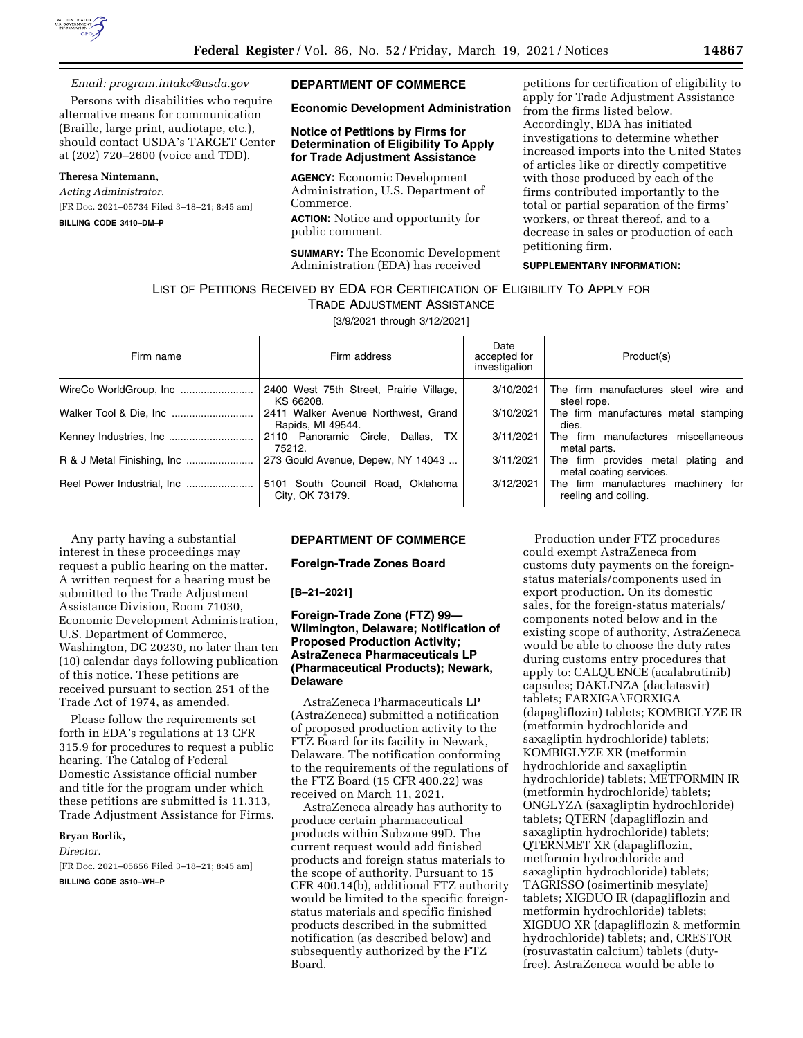

# *Email: [program.intake@usda.gov](mailto:program.intake@usda.gov)*

Persons with disabilities who require alternative means for communication (Braille, large print, audiotape, etc.), should contact USDA's TARGET Center at (202) 720–2600 (voice and TDD).

# **Theresa Nintemann,**

*Acting Administrator.*  [FR Doc. 2021–05734 Filed 3–18–21; 8:45 am] **BILLING CODE 3410–DM–P** 

### **DEPARTMENT OF COMMERCE**

# **Economic Development Administration**

# **Notice of Petitions by Firms for Determination of Eligibility To Apply for Trade Adjustment Assistance**

**AGENCY:** Economic Development Administration, U.S. Department of Commerce. **ACTION:** Notice and opportunity for public comment.

**SUMMARY:** The Economic Development Administration (EDA) has received

petitions for certification of eligibility to apply for Trade Adjustment Assistance from the firms listed below. Accordingly, EDA has initiated investigations to determine whether increased imports into the United States of articles like or directly competitive with those produced by each of the firms contributed importantly to the total or partial separation of the firms' workers, or threat thereof, and to a decrease in sales or production of each petitioning firm.

# **SUPPLEMENTARY INFORMATION:**

# LIST OF PETITIONS RECEIVED BY EDA FOR CERTIFICATION OF ELIGIBILITY TO APPLY FOR

TRADE ADJUSTMENT ASSISTANCE

[3/9/2021 through 3/12/2021]

| Firm name | Firm address                                             | Date<br>accepted for<br>investigation | Product(s)                                                     |
|-----------|----------------------------------------------------------|---------------------------------------|----------------------------------------------------------------|
|           | 2400 West 75th Street, Prairie Village,<br>KS 66208.     | 3/10/2021                             | The firm manufactures steel wire and<br>steel rope.            |
|           | 2411 Walker Avenue Northwest, Grand<br>Rapids, MI 49544. | 3/10/2021                             | The firm manufactures metal stamping<br>dies.                  |
|           | 2110 Panoramic Circle, Dallas, TX<br>75212.              | 3/11/2021                             | The firm manufactures miscellaneous<br>metal parts.            |
|           | 273 Gould Avenue, Depew, NY 14043                        | 3/11/2021                             | The firm provides metal plating and<br>metal coating services. |
|           | 5101 South Council Road, Oklahoma<br>City, OK 73179.     | 3/12/2021                             | The firm manufactures machinery for<br>reeling and coiling.    |

Any party having a substantial interest in these proceedings may request a public hearing on the matter. A written request for a hearing must be submitted to the Trade Adjustment Assistance Division, Room 71030, Economic Development Administration, U.S. Department of Commerce, Washington, DC 20230, no later than ten (10) calendar days following publication of this notice. These petitions are received pursuant to section 251 of the Trade Act of 1974, as amended.

Please follow the requirements set forth in EDA's regulations at 13 CFR 315.9 for procedures to request a public hearing. The Catalog of Federal Domestic Assistance official number and title for the program under which these petitions are submitted is 11.313, Trade Adjustment Assistance for Firms.

### **Bryan Borlik,**

#### *Director.*

[FR Doc. 2021–05656 Filed 3–18–21; 8:45 am] **BILLING CODE 3510–WH–P** 

# **DEPARTMENT OF COMMERCE**

#### **Foreign-Trade Zones Board**

#### **[B–21–2021]**

# **Foreign-Trade Zone (FTZ) 99— Wilmington, Delaware; Notification of Proposed Production Activity; AstraZeneca Pharmaceuticals LP (Pharmaceutical Products); Newark, Delaware**

AstraZeneca Pharmaceuticals LP (AstraZeneca) submitted a notification of proposed production activity to the FTZ Board for its facility in Newark, Delaware. The notification conforming to the requirements of the regulations of the FTZ Board (15 CFR 400.22) was received on March 11, 2021.

AstraZeneca already has authority to produce certain pharmaceutical products within Subzone 99D. The current request would add finished products and foreign status materials to the scope of authority. Pursuant to 15 CFR 400.14(b), additional FTZ authority would be limited to the specific foreignstatus materials and specific finished products described in the submitted notification (as described below) and subsequently authorized by the FTZ Board.

Production under FTZ procedures could exempt AstraZeneca from customs duty payments on the foreignstatus materials/components used in export production. On its domestic sales, for the foreign-status materials/ components noted below and in the existing scope of authority, AstraZeneca would be able to choose the duty rates during customs entry procedures that apply to: CALQUENCE (acalabrutinib) capsules; DAKLINZA (daclatasvir) tablets; FARXIGA\FORXIGA (dapagliflozin) tablets; KOMBIGLYZE IR (metformin hydrochloride and saxagliptin hydrochloride) tablets; KOMBIGLYZE XR (metformin hydrochloride and saxagliptin hydrochloride) tablets; METFORMIN IR (metformin hydrochloride) tablets; ONGLYZA (saxagliptin hydrochloride) tablets; QTERN (dapagliflozin and saxagliptin hydrochloride) tablets; QTERNMET XR (dapagliflozin, metformin hydrochloride and saxagliptin hydrochloride) tablets; TAGRISSO (osimertinib mesylate) tablets; XIGDUO IR (dapagliflozin and metformin hydrochloride) tablets; XIGDUO XR (dapagliflozin & metformin hydrochloride) tablets; and, CRESTOR (rosuvastatin calcium) tablets (dutyfree). AstraZeneca would be able to